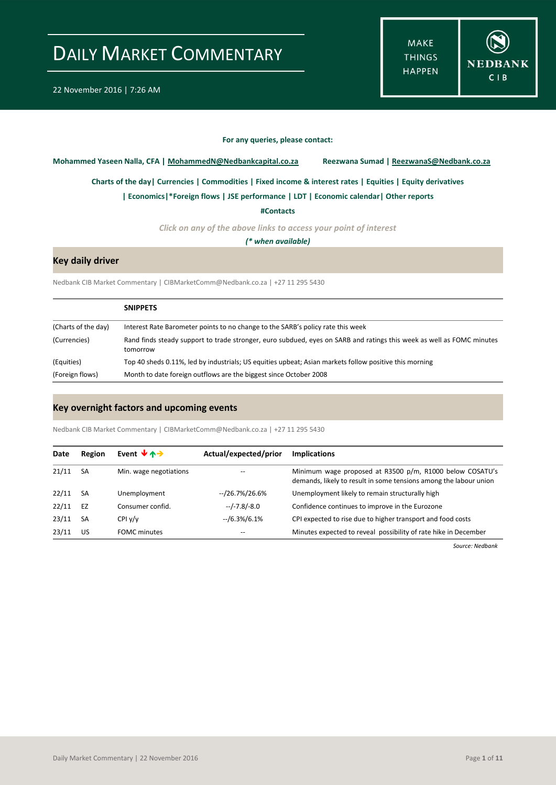**MAKE THINGS HAPPEN** 



### **For any queries, please contact:**

<span id="page-0-0"></span>**Mohammed Yaseen Nalla, CFA | MohammedN@Nedbankcapital.co.za Reezwana Sumad | ReezwanaS@Nedbank.co.za**

**[Charts of the day|](#page-1-0) [Currencies](#page-2-0) [| Commodities](#page-3-0) | [Fixed income & interest rates](#page-4-0) [| Equities](#page-5-0) | Equity derivatives**

**| Economics|[\\*Foreign flows](#page-6-0) | [JSE performance](#page-7-0) [| LDT](#page-8-0) [| Economic calendar|](#page-8-1) Other reports** 

**[#Contacts](#page-9-0)**

*Click on any of the above links to access your point of interest*

*(\* when available)*

### **Key daily driver**

Nedbank CIB Market Commentary | CIBMarketComm@Nedbank.co.za | +27 11 295 5430

|                     | <b>SNIPPETS</b>                                                                                                                   |
|---------------------|-----------------------------------------------------------------------------------------------------------------------------------|
| (Charts of the day) | Interest Rate Barometer points to no change to the SARB's policy rate this week                                                   |
| (Currencies)        | Rand finds steady support to trade stronger, euro subdued, eyes on SARB and ratings this week as well as FOMC minutes<br>tomorrow |
| (Equities)          | Top 40 sheds 0.11%, led by industrials; US equities upbeat; Asian markets follow positive this morning                            |
| (Foreign flows)     | Month to date foreign outflows are the biggest since October 2008                                                                 |

### **Key overnight factors and upcoming events**

Nedbank CIB Market Commentary | CIBMarketComm@Nedbank.co.za | +27 11 295 5430

| Date  | Region    | Event $\forall$ $\land \rightarrow$ | Actual/expected/prior | <b>Implications</b>                                                                                                           |
|-------|-----------|-------------------------------------|-----------------------|-------------------------------------------------------------------------------------------------------------------------------|
| 21/11 | <b>SA</b> | Min. wage negotiations              | --                    | Minimum wage proposed at R3500 p/m, R1000 below COSATU's<br>demands, likely to result in some tensions among the labour union |
| 22/11 | <b>SA</b> | Unemployment                        | --/26.7%/26.6%        | Unemployment likely to remain structurally high                                                                               |
| 22/11 | EZ        | Consumer confid.                    | $-/-7.8/-8.0$         | Confidence continues to improve in the Eurozone                                                                               |
| 23/11 | <b>SA</b> | CPIV/v                              | $-$ /6.3%/6.1%        | CPI expected to rise due to higher transport and food costs                                                                   |
| 23/11 | US        | <b>FOMC</b> minutes                 |                       | Minutes expected to reveal possibility of rate hike in December                                                               |
|       |           |                                     |                       |                                                                                                                               |

*Source: Nedbank*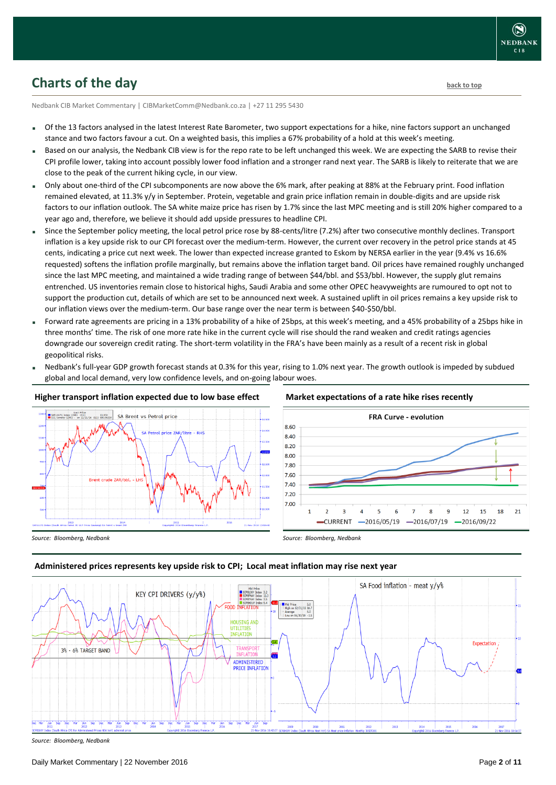### <span id="page-1-0"></span>**Charts of the day** [back to top](#page-0-0) back to top

Nedbank CIB Market Commentary | CIBMarketComm@Nedbank.co.za | +27 11 295 5430

- Of the 13 factors analysed in the latest Interest Rate Barometer, two support expectations for a hike, nine factors support an unchanged stance and two factors favour a cut. On a weighted basis, this implies a 67% probability of a hold at this week's meeting.
- Based on our analysis, the Nedbank CIB view is for the repo rate to be left unchanged this week. We are expecting the SARB to revise their CPI profile lower, taking into account possibly lower food inflation and a stronger rand next year. The SARB is likely to reiterate that we are close to the peak of the current hiking cycle, in our view.
- Only about one-third of the CPI subcomponents are now above the 6% mark, after peaking at 88% at the February print. Food inflation remained elevated, at 11.3% y/y in September. Protein, vegetable and grain price inflation remain in double-digits and are upside risk factors to our inflation outlook. The SA white maize price has risen by 1.7% since the last MPC meeting and is still 20% higher compared to a year ago and, therefore, we believe it should add upside pressures to headline CPI.
- Since the September policy meeting, the local petrol price rose by 88-cents/litre (7.2%) after two consecutive monthly declines. Transport inflation is a key upside risk to our CPI forecast over the medium-term. However, the current over recovery in the petrol price stands at 45 cents, indicating a price cut next week. The lower than expected increase granted to Eskom by NERSA earlier in the year (9.4% vs 16.6% requested) softens the inflation profile marginally, but remains above the inflation target band. Oil prices have remained roughly unchanged since the last MPC meeting, and maintained a wide trading range of between \$44/bbl. and \$53/bbl. However, the supply glut remains entrenched. US inventories remain close to historical highs, Saudi Arabia and some other OPEC heavyweights are rumoured to opt not to support the production cut, details of which are set to be announced next week. A sustained uplift in oil prices remains a key upside risk to our inflation views over the medium-term. Our base range over the near term is between \$40-\$50/bbl.
- Forward rate agreements are pricing in a 13% probability of a hike of 25bps, at this week's meeting, and a 45% probability of a 25bps hike in three months' time. The risk of one more rate hike in the current cycle will rise should the rand weaken and credit ratings agencies downgrade our sovereign credit rating. The short-term volatility in the FRA's have been mainly as a result of a recent risk in global geopolitical risks.
- Nedbank's full-year GDP growth forecast stands at 0.3% for this year, rising to 1.0% next year. The growth outlook is impeded by subdued global and local demand, very low confidence levels, and on-going labour woes.



### **Higher transport inflation expected due to low base effect**

### **Market expectations of a rate hike rises recently**



### **Administered prices represents key upside risk to CPI; Local meat inflation may rise next year**



*Source: Bloomberg, Nedbank*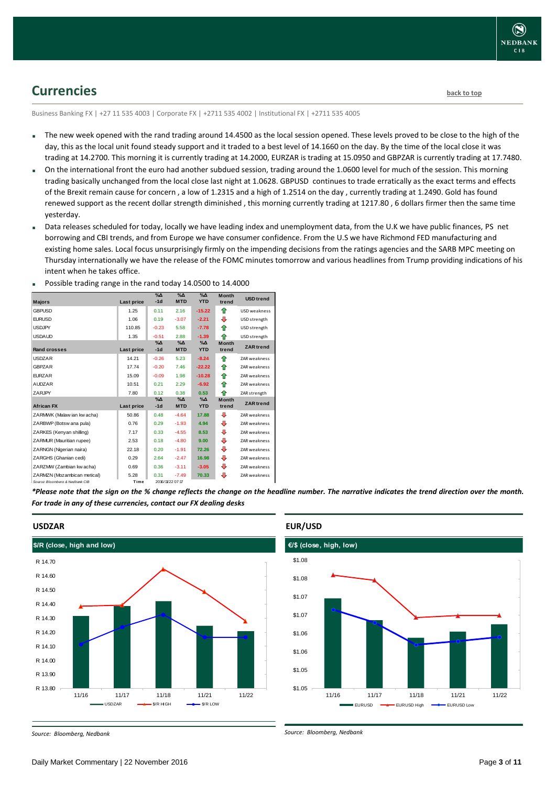### <span id="page-2-0"></span>**Currencies [back to top](#page-0-0)**

Business Banking FX | +27 11 535 4003 | Corporate FX | +2711 535 4002 | Institutional FX | +2711 535 4005

- The new week opened with the rand trading around 14.4500 as the local session opened. These levels proved to be close to the high of the day, this as the local unit found steady support and it traded to a best level of 14.1660 on the day. By the time of the local close it was trading at 14.2700. This morning it is currently trading at 14.2000, EURZAR is trading at 15.0950 and GBPZAR is currently trading at 17.7480.
- On the international front the euro had another subdued session, trading around the 1.0600 level for much of the session. This morning trading basically unchanged from the local close last night at 1.0628. GBPUSD continues to trade erratically as the exact terms and effects of the Brexit remain cause for concern , a low of 1.2315 and a high of 1.2514 on the day , currently trading at 1.2490. Gold has found renewed support as the recent dollar strength diminished , this morning currently trading at 1217.80 , 6 dollars firmer then the same time yesterday.
- Data releases scheduled for today, locally we have leading index and unemployment data, from the U.K we have public finances, PS net borrowing and CBI trends, and from Europe we have consumer confidence. From the U.S we have Richmond FED manufacturing and existing home sales. Local focus unsurprisingly firmly on the impending decisions from the ratings agencies and the SARB MPC meeting on Thursday internationally we have the release of the FOMC minutes tomorrow and various headlines from Trump providing indications of his intent when he takes office.

| <b>Majors</b>                   | Last price | $\sqrt{2}$<br>$-1d$ | $\sqrt{\Delta}$<br><b>MTD</b> | $\sqrt{\Delta}$<br><b>YTD</b> | <b>Month</b><br>trend | <b>USD</b> trend    |
|---------------------------------|------------|---------------------|-------------------------------|-------------------------------|-----------------------|---------------------|
| <b>GBPUSD</b>                   | 1.25       | 0.11                | 2.16                          | $-15.22$                      | ⇑                     | <b>USD</b> weakness |
| <b>FURUSD</b>                   | 1.06       | 0.19                | $-3.07$                       | $-2.21$                       | ⊕                     | USD strength        |
| <b>USDJPY</b>                   | 110.85     | $-0.23$             | 5.58                          | $-7.78$                       | ⇑                     | USD strength        |
| <b>USDAUD</b>                   | 1.35       | $-0.51$             | 2.88                          | $-1.39$                       | ♠                     | USD strength        |
|                                 |            | $\%$ $\Delta$       | $\%$ $\Delta$                 | $\%$ $\Delta$                 | <b>Month</b>          |                     |
| Rand crosses                    | Last price | $-1d$               | <b>MTD</b>                    | <b>YTD</b>                    | trend                 | <b>ZAR</b> trend    |
| <b>USDZAR</b>                   | 14.21      | $-0.26$             | 5.23                          | $-8.24$                       | ⇑                     | <b>ZAR</b> weakness |
| <b>GBPZAR</b>                   | 17.74      | $-0.20$             | 7.46                          | $-22.22$                      | ♠                     | <b>ZAR</b> weakness |
| <b>FURZAR</b>                   | 15.09      | $-0.09$             | 1.98                          | $-10.28$                      | ♠                     | <b>ZAR</b> weakness |
| <b>AUDZAR</b>                   | 10.51      | 0.21                | 2.29                          | $-6.92$                       | ⇑                     | <b>ZAR</b> weakness |
| ZARJPY                          | 7.80       | 0.12                | 0.38                          | 0.53                          | ♠                     | ZAR strength        |
|                                 |            | $\%$ $\Delta$       | $\%$ $\Delta$                 | $\%$ $\Delta$                 | <b>Month</b>          | <b>ZAR</b> trend    |
| <b>African FX</b>               | Last price | $-1d$               | <b>MTD</b>                    | <b>YTD</b>                    | trend                 |                     |
| ZARMWK (Malaw ian kw acha)      | 50.86      | 0.48                | $-4.64$                       | 17.88                         | J                     | <b>ZAR</b> weakness |
| ZARBWP (Botsw ana pula)         | 0.76       | 0.29                | $-1.93$                       | 4.94                          | ⊕                     | <b>ZAR</b> weakness |
| ZARKES (Kenvan shilling)        | 7.17       | 0.33                | $-4.55$                       | 8.53                          | ⊕                     | <b>ZAR</b> weakness |
| ZARMUR (Mauritian rupee)        | 2.53       | 0.18                | $-4.80$                       | 9.00                          | ⊕                     | <b>ZAR weakness</b> |
| ZARNGN (Nigerian naira)         | 22.18      | 0.20                | $-1.91$                       | 72.26                         | ⊕                     | <b>ZAR weakness</b> |
| ZARGHS (Ghanian cedi)           | 0.29       | 2.64                | $-2.47$                       | 16.98                         | ⊕                     | <b>ZAR weakness</b> |
| ZARZMW (Zambian kw acha)        | 0.69       | 0.36                | $-3.11$                       | $-3.05$                       | ⊕                     | <b>ZAR</b> weakness |
| ZARMZN (Mozambican metical)     | 5.28       | 0.31                | $-7.49$                       | 70.33                         | ⊕                     | ZAR weakness        |
| Source: Ricomborn & Nodbank CIR | Time       |                     | 2016/11/22 07:17              |                               |                       |                     |

Possible trading range in the rand today 14.0500 to 14.4000

*\*Please note that the sign on the % change reflects the change on the headline number. The narrative indicates the trend direction over the month. For trade in any of these currencies, contact our FX dealing desks*



### **USDZAR**

*Source: Bloomberg, Nedbank*

### **€/\$ (close, high, low)** \$1.05 \$1.05 \$1.06 \$1.06 \$1.07 \$1.07 \$1.08 \$1.08 11/16 11/17 11/18 11/21 11/22 **EURUSD — BELIRUSD High — CURUSD Low**

### **EUR/USD**

*Source: Bloomberg, Nedbank*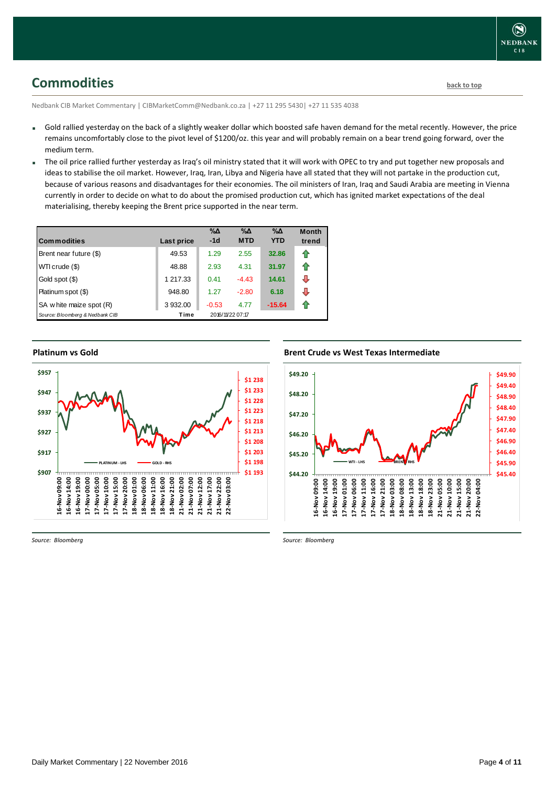<span id="page-3-0"></span>**Commodities [back to top](#page-0-0)** 

Nedbank CIB Market Commentary | CIBMarketComm@Nedbank.co.za | +27 11 295 5430| +27 11 535 4038

- Gold rallied yesterday on the back of a slightly weaker dollar which boosted safe haven demand for the metal recently. However, the price remains uncomfortably close to the pivot level of \$1200/oz. this year and will probably remain on a bear trend going forward, over the medium term.
- The oil price rallied further yesterday as Iraq's oil ministry stated that it will work with OPEC to try and put together new proposals and ideas to stabilise the oil market. However, Iraq, Iran, Libya and Nigeria have all stated that they will not partake in the production cut, because of various reasons and disadvantages for their economies. The oil ministers of Iran, Iraq and Saudi Arabia are meeting in Vienna currently in order to decide on what to do about the promised production cut, which has ignited market expectations of the deal materialising, thereby keeping the Brent price supported in the near term.

| <b>Commodities</b>              | Last price | $\% \Delta$<br>$-1d$ | $\% \Delta$<br><b>MTD</b> | $\% \Delta$<br><b>YTD</b> | <b>Month</b><br>trend |
|---------------------------------|------------|----------------------|---------------------------|---------------------------|-----------------------|
| Brent near future (\$)          | 49.53      | 1.29                 | 2.55                      | 32.86                     | ⇑                     |
| WTI crude (\$)                  | 48.88      | 2.93                 | 4.31                      | 31.97                     | ⇑                     |
| Gold spot (\$)                  | 1 217.33   | 0.41                 | $-4.43$                   | 14.61                     | ⊕                     |
| Platinum spot (\$)              | 948.80     | 1.27                 | $-2.80$                   | 6.18                      | ⊕                     |
| SA w hite maize spot (R)        | 3 932.00   | $-0.53$              | 4.77                      | $-15.64$                  | ⇑                     |
| Source: Bloomberg & Nedbank CIB | Time       |                      | 2016/11/22 07:17          |                           |                       |

### **Platinum vs Gold**



*Source: Bloomberg*

### **Brent Crude vs West Texas Intermediate**



*Source: Bloomberg*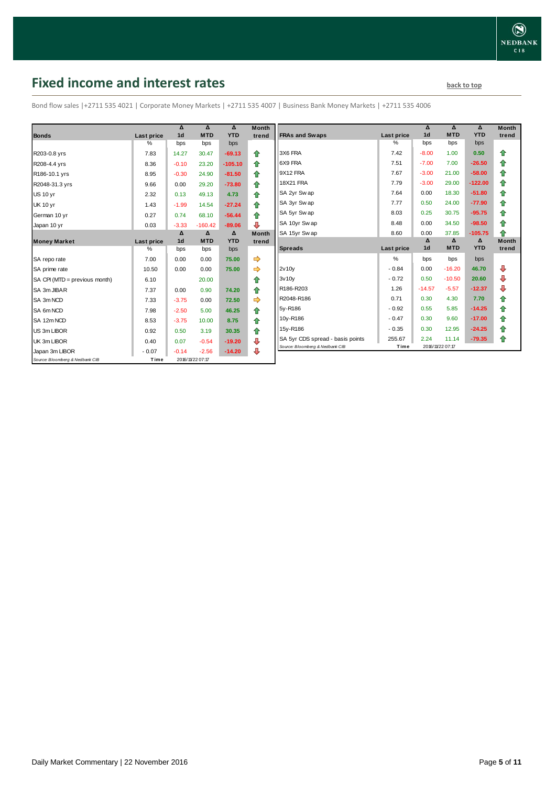# <span id="page-4-0"></span>**Fixed income and interest rates back to the line of the set of the set of the set of the set of the set of the set of the set of the set of the set of the set of the set of the set of the set of the set of the set of th**

Bond flow sales |+2711 535 4021 | Corporate Money Markets | +2711 535 4007 | Business Bank Money Markets | +2711 535 4006

|                                 |                   | Δ              | Δ                | Δ          | <b>Month</b> |
|---------------------------------|-------------------|----------------|------------------|------------|--------------|
| <b>Bonds</b>                    | Last price        | 1 <sub>d</sub> | <b>MTD</b>       | <b>YTD</b> | trend        |
|                                 | $\%$              | bps            | bps              | bps        |              |
| R203-0.8 yrs                    | 7.83              | 14.27          | 30.47            | $-69.13$   | ⇑            |
| R208-4.4 yrs                    | 8.36              | $-0.10$        | 23.20            | $-105.10$  | ♠            |
| R186-10.1 yrs                   | 8.95              | $-0.30$        | 24.90            | $-81.50$   | ⇑            |
| R2048-31.3 yrs                  | 9.66              | 0.00           | 29.20            | $-73.80$   | ♠            |
| <b>US 10 yr</b>                 | 2.32              | 0.13           | 49.13            | 4.73       | 合            |
| <b>UK 10 yr</b>                 | 1.43              | $-1.99$        | 14.54            | $-27.24$   | ♠            |
| German 10 yr                    | 0.27              | 0.74           | 68.10            | $-56.44$   | ⇑            |
| Japan 10 yr                     | 0.03              | $-3.33$        | $-160.42$        | $-89.06$   | ⊕            |
|                                 |                   | Δ              | Δ                | Δ          | <b>Month</b> |
| <b>Money Market</b>             | <b>Last price</b> | 1 <sub>d</sub> | <b>MTD</b>       | <b>YTD</b> | trend        |
|                                 | $\%$              | bps            | bps              | bps        |              |
| SA repo rate                    | 7.00              | 0.00           | 0.00             | 75.00      | ⇛            |
| SA prime rate                   | 10.50             | 0.00           | 0.00             | 75.00      | ⇛            |
| SA CPI (MTD = previous month)   | 6.10              |                | 20.00            |            | ♠            |
| SA 3m JIBAR                     | 7.37              | 0.00           | 0.90             | 74.20      | 合            |
| SA 3m NCD                       | 7.33              | $-3.75$        | 0.00             | 72.50      | ⇛            |
| SA 6m NCD                       | 7.98              | $-2.50$        | 5.00             | 46.25      | ♠            |
| SA 12m NCD                      | 8.53              | $-3.75$        | 10.00            | 8.75       | ⇑            |
| US 3m LIBOR                     | 0.92              | 0.50           | 3.19             | 30.35      | ⇑            |
| UK 3m LIBOR                     | 0.40              | 0.07           | $-0.54$          | $-19.20$   | ⇩            |
| Japan 3m LIBOR                  | $-0.07$           | $-0.14$        | $-2.56$          | $-14.20$   | ⊕            |
| Source: Bloomberg & Nedbank CIB | Time              |                | 2016/11/22 07:17 |            |              |

|                                  |                   | Δ              | Δ          | Δ          | <b>Month</b> |
|----------------------------------|-------------------|----------------|------------|------------|--------------|
| <b>FRAs and Swaps</b>            | Last price        | 1 <sub>d</sub> | <b>MTD</b> | <b>YTD</b> | trend        |
|                                  | %                 | bps            | bps        | bps        |              |
| 3X6 FRA                          | 7.42              | $-8.00$        | 1.00       | 0.50       | ⇑            |
| 6X9 FRA                          | 7.51              | $-7.00$        | 7.00       | $-26.50$   | ✿            |
| 9X12 FRA                         | 7.67              | $-3.00$        | 21.00      | $-58.00$   | 合            |
| <b>18X21 FRA</b>                 | 7.79              | $-3.00$        | 29.00      | $-122.00$  | ✿            |
| SA 2yr Sw ap                     | 7.64              | 0.00           | 18.30      | $-51.80$   | 合            |
| SA 3yr Sw ap                     | 7.77              | 0.50           | 24.00      | $-77.90$   | 合            |
| SA 5yr Sw ap                     | 8.03              | 0.25           | 30.75      | $-95.75$   | ⇮            |
| SA 10yr Sw ap                    | 8.48              | 0.00           | 34.50      | $-98.50$   | ✿            |
| SA 15yr Sw ap                    | 8.60              | 0.00           | 37.85      | $-105.75$  | ⇑            |
|                                  |                   | Δ              | Δ          | Δ          | <b>Month</b> |
| <b>Spreads</b>                   | <b>Last price</b> | 1 <sub>d</sub> | <b>MTD</b> | <b>YTD</b> | trend        |
|                                  | %                 | bps            | bps        | bps        |              |
| 2v10v                            | $-0.84$           | 0.00           | $-16.20$   | 46.70      | ⊕            |
|                                  |                   |                |            |            |              |
| 3v10v                            | $-0.72$           | 0.50           | $-10.50$   | 20.60      | ⊕            |
| R186-R203                        | 1.26              | $-14.57$       | $-5.57$    | $-12.37$   | ⊕            |
| R2048-R186                       | 0.71              | 0.30           | 4.30       | 7.70       | ✿            |
| 5y-R186                          | $-0.92$           | 0.55           | 5.85       | $-14.25$   | 合            |
| 10y-R186                         | $-0.47$           | 0.30           | 9.60       | $-17.00$   | 合            |
| 15y-R186                         | $-0.35$           | 0.30           | 12.95      | $-24.25$   | ✿            |
| SA 5yr CDS spread - basis points | 255.67            | 2.24           | 11.14      | $-79.35$   | ⇑            |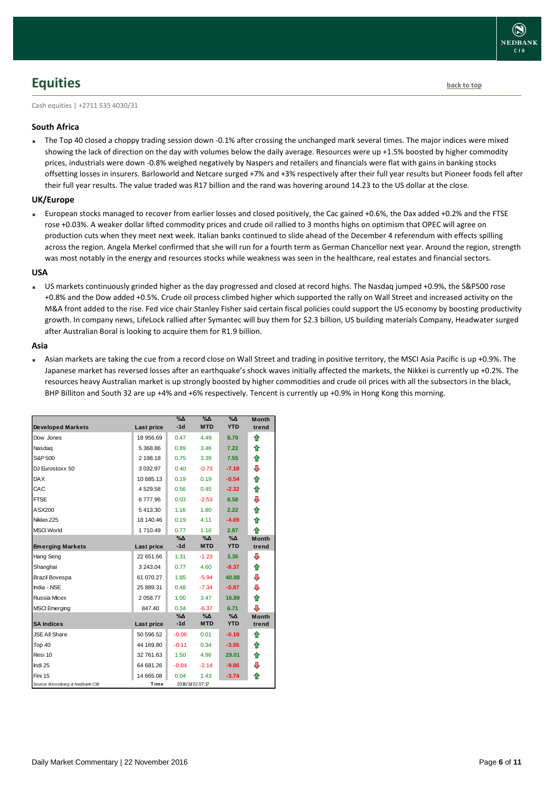## <span id="page-5-0"></span>**Equities [back to top](#page-0-0)**

Cash equities | +2711 535 4030/31

### **South Africa**

The Top 40 closed a choppy trading session down -0.1% after crossing the unchanged mark several times. The major indices were mixed showing the lack of direction on the day with volumes below the daily average. Resources were up +1.5% boosted by higher commodity prices, industrials were down -0.8% weighed negatively by Naspers and retailers and financials were flat with gains in banking stocks offsetting losses in insurers. Barloworld and Netcare surged +7% and +3% respectively after their full year results but Pioneer foods fell after their full year results. The value traded was R17 billion and the rand was hovering around 14.23 to the US dollar at the close.

### **UK/Europe**

 European stocks managed to recover from earlier losses and closed positively, the Cac gained +0.6%, the Dax added +0.2% and the FTSE rose +0.03%. A weaker dollar lifted commodity prices and crude oil rallied to 3 months highs on optimism that OPEC will agree on production cuts when they meet next week. Italian banks continued to slide ahead of the December 4 referendum with effects spilling across the region. Angela Merkel confirmed that she will run for a fourth term as German Chancellor next year. Around the region, strength was most notably in the energy and resources stocks while weakness was seen in the healthcare, real estates and financial sectors.

### **USA**

 US markets continuously grinded higher as the day progressed and closed at record highs. The Nasdaq jumped +0.9%, the S&P500 rose +0.8% and the Dow added +0.5%. Crude oil process climbed higher which supported the rally on Wall Street and increased activity on the M&A front added to the rise. Fed vice chair Stanley Fisher said certain fiscal policies could support the US economy by boosting productivity growth. In company news, LifeLock rallied after Symantec will buy them for \$2.3 billion, US building materials Company, Headwater surged after Australian Boral is looking to acquire them for R1.9 billion.

### **Asia**

 Asian markets are taking the cue from a record close on Wall Street and trading in positive territory, the MSCI Asia Pacific is up +0.9%. The Japanese market has reversed losses after an earthquake's shock waves initially affected the markets, the Nikkei is currently up +0.2%. The resources heavy Australian market is up strongly boosted by higher commodities and crude oil prices with all the subsectors in the black, BHP Billiton and South 32 are up +4% and +6% respectively. Tencent is currently up +0.9% in Hong Kong this morning.

|                                 |             | $\% \Delta$<br>$-1d$ | %Δ<br><b>MTD</b> | %Δ<br><b>YTD</b> | <b>Month</b> |
|---------------------------------|-------------|----------------------|------------------|------------------|--------------|
| <b>Developed Markets</b>        | Last price  |                      |                  |                  | trend        |
| Dow Jones                       | 18 956.69   | 0.47                 | 4.49             | 8.79             | ⇑            |
| Nasdag                          | 5 368.86    | 0.89                 | 3.46             | 7.22             | ⇑            |
| S&P 500                         | 2 198.18    | 0.75                 | 3.39             | 7.55             | ⇑            |
| DJ Eurostoxx 50                 | 3 0 3 2.9 7 | 0.40                 | $-0.73$          | $-7.18$          | ⇩            |
| <b>DAX</b>                      | 10 685.13   | 0.19                 | 0.19             | $-0.54$          | ⇑            |
| CAC                             | 4529.58     | 0.56                 | 0.45             | $-2.32$          | ⇑            |
| <b>FTSE</b>                     | 6777.96     | 0.03                 | $-2.53$          | 8.58             | ⊕            |
| ASX200                          | 5413.30     | 1.16                 | 1.80             | 2.22             | ⇑            |
| Nikkei 225                      | 18 140.46   | 0.19                 | 4.11             | $-4.69$          | ♠            |
| <b>MSCI World</b>               | 1710.49     | 0.77                 | 1.16             | 2.87             | ♠            |
|                                 |             | $\% \Delta$          | %Δ               | %Δ               | <b>Month</b> |
| <b>Emerging Markets</b>         | Last price  | $-1d$                | <b>MTD</b>       | <b>YTD</b>       | trend        |
| Hang Seng                       | 22 651.66   | 1.31                 | $-1.23$          | 3.36             | ⊕            |
| Shanghai                        | 3 243.04    | 0.77                 | 4.60             | $-8.37$          | ⇑            |
| Brazil Bovespa                  | 61 070.27   | 1.85                 | $-5.94$          | 40.88            | ⊕            |
| India - NSE                     | 25 889.31   | 0.48                 | $-7.34$          | $-0.87$          | ⇩            |
| Russia Micex                    | 2 058.77    | 1.00                 | 3.47             | 16.89            | ⇮            |
| <b>MSCI</b> Emerging            | 847.40      | 0.34                 | $-6.37$          | 6.71             | ⊕            |
|                                 |             | %Δ                   | %Δ               | %Δ               | <b>Month</b> |
| <b>SA Indices</b>               | Last price  | $-1d$                | <b>MTD</b>       | <b>YTD</b>       | trend        |
| <b>JSE All Share</b>            | 50 596.52   | $-0.06$              | 0.01             | $-0.19$          | ⇑            |
| Top 40                          | 44 169.80   | $-0.11$              | 0.34             | $-3.55$          | ⇑            |
| Resi 10                         | 32 761.63   | 1.50                 | 4.96             | 29.01            | ⇮            |
| Indi 25                         | 64 681.26   | $-0.84$              | $-2.14$          | $-9.86$          | ⊕            |
| Fini 15                         | 14 665.08   | 0.04                 | 1.43             | $-3.74$          | ♠            |
| Source: Bloomberg & Nedbank CIB | Time        |                      | 2016/11/22 07:17 |                  |              |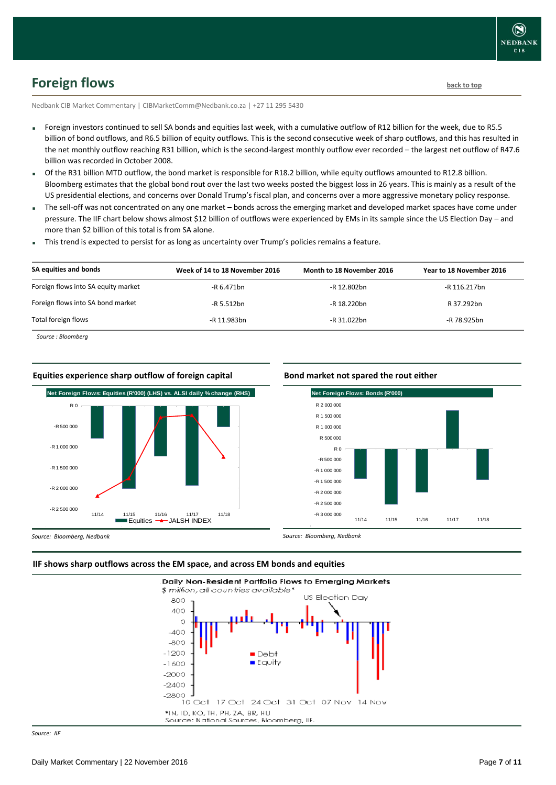

# <span id="page-6-0"></span>**Foreign flows [back to top](#page-0-0)**

Nedbank CIB Market Commentary | CIBMarketComm@Nedbank.co.za | +27 11 295 5430

- Foreign investors continued to sell SA bonds and equities last week, with a cumulative outflow of R12 billion for the week, due to R5.5 billion of bond outflows, and R6.5 billion of equity outflows. This is the second consecutive week of sharp outflows, and this has resulted in the net monthly outflow reaching R31 billion, which is the second-largest monthly outflow ever recorded – the largest net outflow of R47.6 billion was recorded in October 2008.
- Of the R31 billion MTD outflow, the bond market is responsible for R18.2 billion, while equity outflows amounted to R12.8 billion. Bloomberg estimates that the global bond rout over the last two weeks posted the biggest loss in 26 years. This is mainly as a result of the US presidential elections, and concerns over Donald Trump's fiscal plan, and concerns over a more aggressive monetary policy response.
- The sell-off was not concentrated on any one market bonds across the emerging market and developed market spaces have come under pressure. The IIF chart below shows almost \$12 billion of outflows were experienced by EMs in its sample since the US Election Day – and more than \$2 billion of this total is from SA alone.
- This trend is expected to persist for as long as uncertainty over Trump's policies remains a feature.

| SA equities and bonds               | Week of 14 to 18 November 2016 | Month to 18 November 2016 | Year to 18 November 2016 |
|-------------------------------------|--------------------------------|---------------------------|--------------------------|
| Foreign flows into SA equity market | -R 6.471bn                     | -R 12.802bn               | -R 116.217bn             |
| Foreign flows into SA bond market   | -R 5.512bn                     | -R 18.220bn               | R 37.292bn               |
| Total foreign flows                 | -R 11.983bn                    | -R 31.022bn               | -R 78.925bn              |

*Source : Bloomberg*

#### **Equities experience sharp outflow of foreign capital**



#### **Bond market not spared the rout either**



*Source: Bloomberg, Nedbank*

#### **IIF shows sharp outflows across the EM space, and across EM bonds and equities**



*Source: IIF*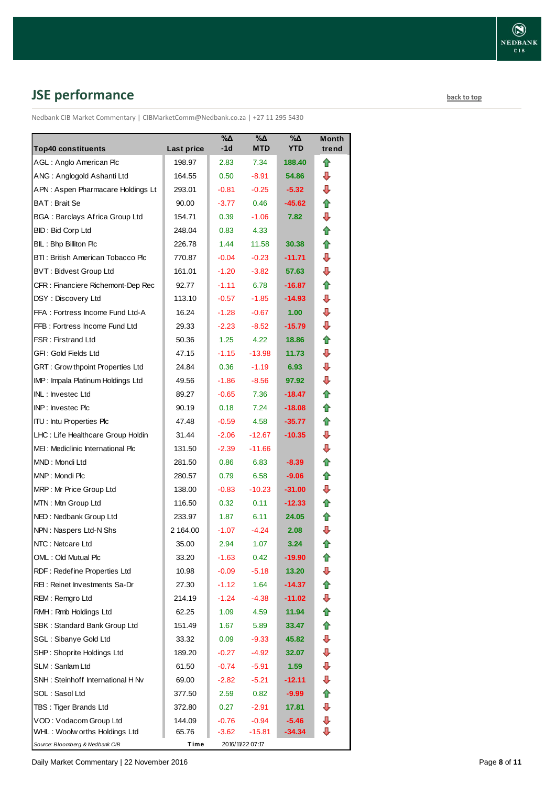# <span id="page-7-0"></span>**JSE performance [back to top](#page-0-0) back to top**

Nedbank CIB Market Commentary | CIBMarketComm@Nedbank.co.za | +27 11 295 5430

|                                                                 |                      | %Δ<br>-1d    | %Δ<br><b>MTD</b> | $\sqrt{20}$<br><b>YTD</b> | <b>Month</b> |
|-----------------------------------------------------------------|----------------------|--------------|------------------|---------------------------|--------------|
| <b>Top40 constituents</b>                                       | Last price<br>198.97 |              |                  |                           | trend        |
| AGL: Anglo American Plc                                         | 164.55               | 2.83<br>0.50 | 7.34<br>-8.91    | 188.40<br>54.86           | ⇑<br>⊕       |
| ANG: Anglogold Ashanti Ltd<br>APN: Aspen Pharmacare Holdings Lt | 293.01               | $-0.81$      | $-0.25$          | $-5.32$                   | ⇩            |
| BAT: Brait Se                                                   | 90.00                | $-3.77$      | 0.46             | $-45.62$                  | ✿            |
| <b>BGA: Barclays Africa Group Ltd</b>                           | 154.71               | 0.39         | $-1.06$          | 7.82                      | ⇩            |
| BID: Bid Corp Ltd                                               | 248.04               | 0.83         | 4.33             |                           | ✿            |
| BIL: Bhp Billiton Plc                                           | 226.78               | 1.44         | 11.58            | 30.38                     | ✿            |
| BTI: British American Tobacco Plc                               | 770.87               | $-0.04$      | $-0.23$          | $-11.71$                  | ⊕            |
| <b>BVT: Bidvest Group Ltd</b>                                   | 161.01               | $-1.20$      | $-3.82$          | 57.63                     | ⇩            |
| CFR: Financiere Richemont-Dep Rec                               | 92.77                | $-1.11$      | 6.78             | -16.87                    | ✿            |
| DSY: Discovery Ltd                                              | 113.10               | $-0.57$      | $-1.85$          | -14.93                    | ⊕            |
| FFA: Fortress Income Fund Ltd-A                                 | 16.24                | $-1.28$      | $-0.67$          | 1.00 <sub>1</sub>         | ⇩            |
| FFB: Fortress Income Fund Ltd                                   | 29.33                | $-2.23$      | $-8.52$          | -15.79                    | ⇩            |
| <b>FSR: Firstrand Ltd</b>                                       | 50.36                | 1.25         | 4.22             | 18.86                     | 合            |
| GFI : Gold Fields Ltd                                           | 47.15                | $-1.15$      | $-13.98$         | 11.73                     | ⇩            |
| GRT: Grow thpoint Properties Ltd                                | 24.84                | 0.36         | $-1.19$          | 6.93                      | ⇩            |
| IMP: Impala Platinum Holdings Ltd                               | 49.56                | $-1.86$      | $-8.56$          | 97.92                     | ⇩            |
| INL: Investec Ltd                                               | 89.27                | $-0.65$      | 7.36             | -18.47                    | ⇑            |
| INP: Investec Plc                                               | 90.19                | 0.18         | 7.24             | $-18.08$                  | ✿            |
| <b>ITU: Intu Properties Plc</b>                                 | 47.48                | $-0.59$      | 4.58             | -35.77                    | ✿            |
| LHC: Life Healthcare Group Holdin                               | 31.44                | $-2.06$      | $-12.67$         | $-10.35$                  | ⇩            |
| MEI: Mediclinic International Plc                               | 131.50               | $-2.39$      | $-11.66$         |                           | ₽            |
| MND: Mondi Ltd                                                  | 281.50               | 0.86         | 6.83             | $-8.39$                   | ✿            |
| MNP: Mondi Plc                                                  | 280.57               | 0.79         | 6.58             | $-9.06$                   | ✿            |
| MRP: Mr Price Group Ltd                                         | 138.00               | $-0.83$      | $-10.23$         | $-31.00$                  | ⊕            |
| MTN: Mtn Group Ltd                                              | 116.50               | 0.32         | 0.11             | $-12.33$                  | ✿            |
| NED: Nedbank Group Ltd                                          | 233.97               | 1.87         | 6.11             | 24.05                     | ⇑            |
| NPN: Naspers Ltd-N Shs                                          | 2 164.00             | $-1.07$      | $-4.24$          | 2.08                      | ₽            |
| NTC: Netcare Ltd                                                | 35.00                | 2.94         | 1.07             | 3.24                      | ⇑            |
| OML: Old Mutual Plc                                             | 33.20                | $-1.63$      | 0.42             | $-19.90$                  | €            |
| RDF: Redefine Properties Ltd                                    | 10.98                | $-0.09$      | $-5.18$          | 13.20                     | ⇩            |
| REI : Reinet Investments Sa-Dr                                  | 27.30                | $-1.12$      | 1.64             | -14.37                    | ✿            |
| REM: Remgro Ltd                                                 | 214.19               | $-1.24$      | $-4.38$          | $-11.02$                  | ⇩            |
| RMH: Rmb Holdings Ltd                                           | 62.25                | 1.09         | 4.59             | 11.94                     | ✿            |
| SBK: Standard Bank Group Ltd                                    | 151.49               | 1.67         | 5.89             | 33.47                     | 合            |
| SGL : Sibanye Gold Ltd                                          | 33.32                | 0.09         | $-9.33$          | 45.82                     | ⇩            |
| SHP: Shoprite Holdings Ltd                                      | 189.20               | $-0.27$      | -4.92            | 32.07                     | ⇩            |
| SLM: Sanlam Ltd                                                 | 61.50                | $-0.74$      | $-5.91$          | 1.59                      | ⊕            |
| SNH : Steinhoff International H Nv                              | 69.00                | $-2.82$      | -5.21            | -12.11                    | ⊕            |
| SOL : Sasol Ltd                                                 | 377.50               | 2.59         | 0.82             | -9.99                     | ⇑            |
| TBS: Tiger Brands Ltd                                           | 372.80               | 0.27         | $-2.91$          | 17.81                     | ⇩            |
| VOD: Vodacom Group Ltd                                          | 144.09               | $-0.76$      | $-0.94$          | $-5.46$                   | ⇩            |
| WHL: Woolw orths Holdings Ltd                                   | 65.76                | $-3.62$      | -15.81           | $-34.34$                  | ⊕            |
| Source: Bloomberg & Nedbank CIB                                 | Time                 |              | 2016/11/22 07:17 |                           |              |

Daily Market Commentary | 22 November 2016 **Page 8** of 11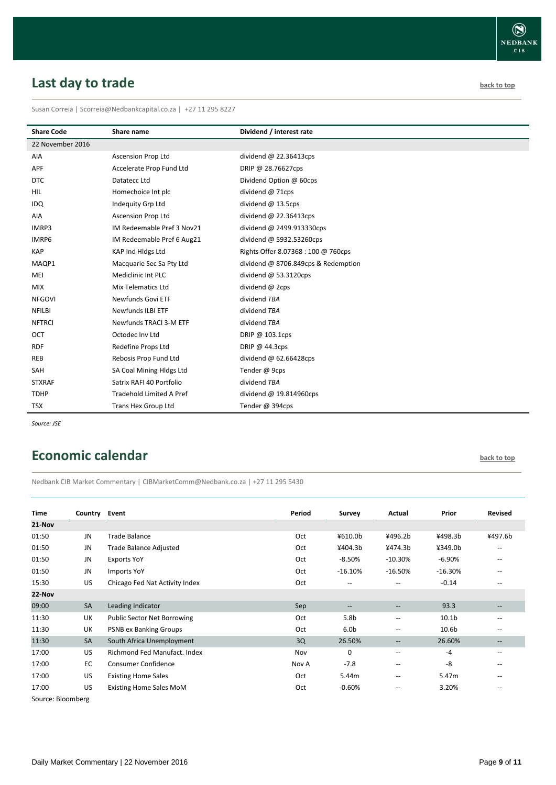# <span id="page-8-0"></span>**Last day to trade back to the contract of the contract of the contract of the contract of the contract of the contract of the contract of the contract of the contract of the contract of the contract of the contract of t**

Susan Correia | [Scorreia@Nedbankcapital.co.za](mailto:Scorreia@Nedbankcapital.co.za) | +27 11 295 8227

| <b>Share Code</b> | Share name                 | Dividend / interest rate            |
|-------------------|----------------------------|-------------------------------------|
| 22 November 2016  |                            |                                     |
| AIA               | <b>Ascension Prop Ltd</b>  | dividend $@$ 22.36413cps            |
| APF               | Accelerate Prop Fund Ltd   | DRIP @ 28.76627cps                  |
| <b>DTC</b>        | Datatecc Ltd               | Dividend Option @ 60cps             |
| <b>HIL</b>        | Homechoice Int plc         | dividend @ 71cps                    |
| IDQ               | Indequity Grp Ltd          | dividend @ 13.5cps                  |
| AIA               | <b>Ascension Prop Ltd</b>  | dividend $@$ 22.36413cps            |
| IMRP3             | IM Redeemable Pref 3 Nov21 | dividend @ 2499.913330cps           |
| IMRP6             | IM Redeemable Pref 6 Aug21 | dividend @ 5932.53260cps            |
| <b>KAP</b>        | KAP Ind Hidgs Ltd          | Rights Offer 8.07368: 100 @ 760cps  |
| MAQP1             | Macquarie Sec Sa Pty Ltd   | dividend @ 8706.849cps & Redemption |
| MEI               | Mediclinic Int PLC         | dividend $@$ 53.3120cps             |
| <b>MIX</b>        | Mix Telematics Ltd         | dividend @ 2cps                     |
| <b>NFGOVI</b>     | Newfunds Govi ETF          | dividend TBA                        |
| <b>NFILBI</b>     | <b>Newfunds ILBI ETF</b>   | dividend TBA                        |
| <b>NFTRCI</b>     | Newfunds TRACI 3-M ETF     | dividend TBA                        |
| OCT               | Octodec Inv Ltd            | DRIP @ 103.1cps                     |
| <b>RDF</b>        | Redefine Props Ltd         | DRIP @ 44.3cps                      |
| <b>REB</b>        | Rebosis Prop Fund Ltd      | dividend $@62.66428cps$             |
| SAH               | SA Coal Mining Hldgs Ltd   | Tender @ 9cps                       |
| <b>STXRAF</b>     | Satrix RAFI 40 Portfolio   | dividend TBA                        |
| <b>TDHP</b>       | Tradehold Limited A Pref   | dividend @ 19.814960cps             |
| <b>TSX</b>        | Trans Hex Group Ltd        | Tender @ 394cps                     |

*Source: JSE*

### <span id="page-8-1"></span>**Economic calendar [back to top](#page-0-0) back to top**

Nedbank CIB Market Commentary | CIBMarketComm@Nedbank.co.za | +27 11 295 5430

| <b>Time</b>   | Country Event |                                    | Period | Survey                                | Actual                                              | Prior             | <b>Revised</b>                                      |
|---------------|---------------|------------------------------------|--------|---------------------------------------|-----------------------------------------------------|-------------------|-----------------------------------------------------|
| 21-Nov        |               |                                    |        |                                       |                                                     |                   |                                                     |
| 01:50         | JN            | Trade Balance                      | Oct    | ¥610.0b                               | ¥496.2b                                             | ¥498.3b           | ¥497.6b                                             |
| 01:50         | JN            | Trade Balance Adjusted             | Oct    | ¥404.3b                               | ¥474.3b                                             | ¥349.0b           | $- -$                                               |
| 01:50         | JN            | <b>Exports YoY</b>                 | Oct    | $-8.50\%$                             | $-10.30%$                                           | $-6.90%$          | $- -$                                               |
| 01:50         | JN            | <b>Imports YoY</b>                 | Oct    | $-16.10%$                             | $-16.50%$                                           | $-16.30%$         | $\qquad \qquad -$                                   |
| 15:30         | US            | Chicago Fed Nat Activity Index     | Oct    | $\hspace{0.05cm}$ – $\hspace{0.05cm}$ | $\overline{\phantom{m}}$                            | $-0.14$           | $- -$                                               |
| 22-Nov        |               |                                    |        |                                       |                                                     |                   |                                                     |
| 09:00         | <b>SA</b>     | Leading Indicator                  | Sep    | --                                    | --                                                  | 93.3              |                                                     |
| 11:30         | UK            | <b>Public Sector Net Borrowing</b> | Oct    | 5.8 <sub>b</sub>                      | --                                                  | 10.1 <sub>b</sub> |                                                     |
| 11:30         | UK            | <b>PSNB ex Banking Groups</b>      | Oct    | 6.0 <sub>b</sub>                      | $\hspace{0.05cm} -\hspace{0.05cm} -\hspace{0.05cm}$ | 10.6 <sub>b</sub> | $\hspace{0.05cm} -\hspace{0.05cm} -\hspace{0.05cm}$ |
| 11:30         | <b>SA</b>     | South Africa Unemployment          | 3Q     | 26.50%                                | $\qquad \qquad -$                                   | 26.60%            | $\qquad \qquad -$                                   |
| 17:00         | US            | Richmond Fed Manufact, Index       | Nov    | $\mathbf 0$                           | --                                                  | $-4$              | $- -$                                               |
| 17:00         | EC            | <b>Consumer Confidence</b>         | Nov A  | $-7.8$                                | $\overline{\phantom{m}}$                            | -8                | $\qquad \qquad -$                                   |
| 17:00         | US            | <b>Existing Home Sales</b>         | Oct    | 5.44m                                 | $\overline{\phantom{m}}$                            | 5.47m             | $- -$                                               |
| 17:00         | <b>US</b>     | <b>Existing Home Sales MoM</b>     | Oct    | $-0.60%$                              | --                                                  | 3.20%             |                                                     |
| $\sim$ $\sim$ |               |                                    |        |                                       |                                                     |                   |                                                     |

Source: Bloomberg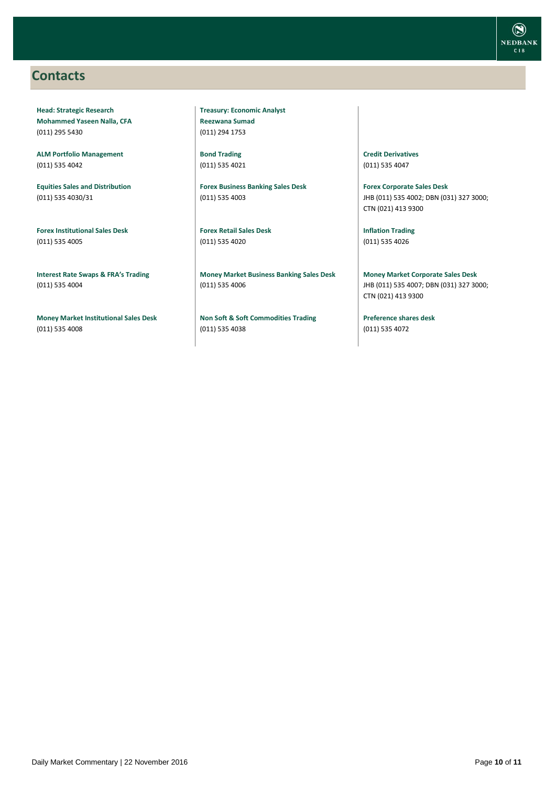### <span id="page-9-0"></span>**Contacts**

**Head: Strategic Research Mohammed Yaseen Nalla, CFA** (011) 295 5430

**ALM Portfolio Management** (011) 535 4042

**Equities Sales and Distribution** (011) 535 4030/31

**Forex Institutional Sales Desk** (011) 535 4005

**Interest Rate Swaps & FRA's Trading** (011) 535 4004

**Money Market Institutional Sales Desk** (011) 535 4008

**Treasury: Economic Analyst Reezwana Sumad** (011) 294 1753

**Bond Trading** (011) 535 4021

**Forex Business Banking Sales Desk** (011) 535 4003

**Forex Retail Sales Desk** (011) 535 4020

**Money Market Business Banking Sales Desk** (011) 535 4006

**Non Soft & Soft Commodities Trading** (011) 535 4038

**Credit Derivatives**  (011) 535 4047

**Forex Corporate Sales Desk** JHB (011) 535 4002; DBN (031) 327 3000; CTN (021) 413 9300

**Inflation Trading** (011) 535 4026

**Money Market Corporate Sales Desk** JHB (011) 535 4007; DBN (031) 327 3000; CTN (021) 413 9300

**Preference shares desk** (011) 535 4072